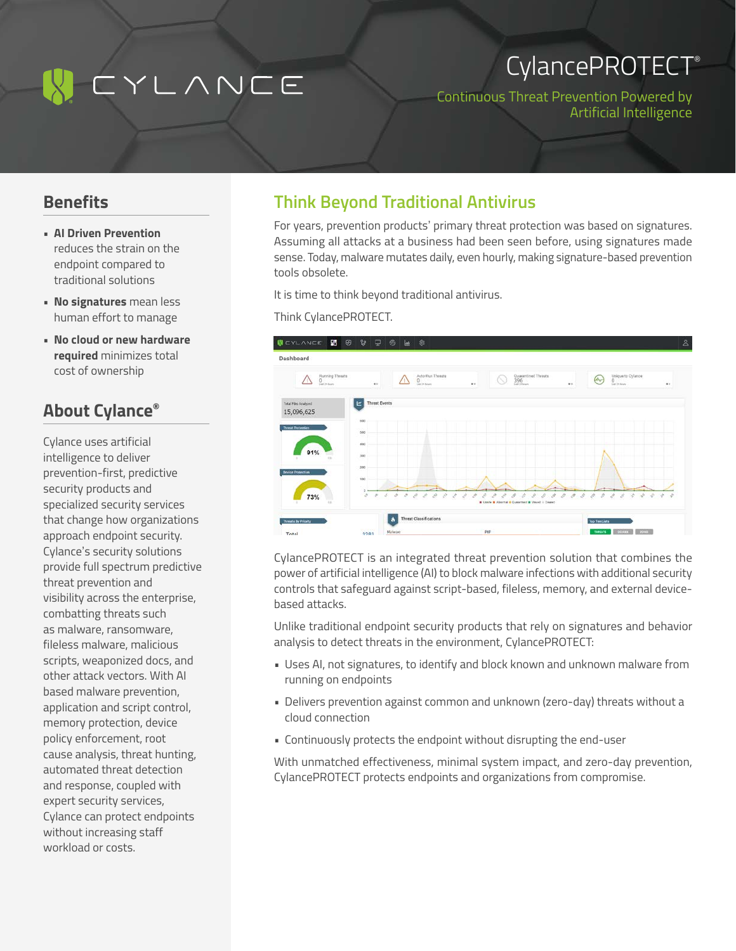# IYLANCE

## CylancePROTECT®

Continuous Threat Prevention Powered by Artificial Intelligence

### **Benefits**

- **• AI Driven Prevention** reduces the strain on the endpoint compared to traditional solutions
- **• No signatures** mean less human effort to manage
- **• No cloud or new hardware required** minimizes total cost of ownership

## **About Cylance®**

Cylance uses artificial intelligence to deliver prevention-first, predictive security products and specialized security services that change how organizations approach endpoint security. Cylance's security solutions provide full spectrum predictive threat prevention and visibility across the enterprise, combatting threats such as malware, ransomware, fileless malware, malicious scripts, weaponized docs, and other attack vectors. With AI based malware prevention, application and script control, memory protection, device policy enforcement, root cause analysis, threat hunting, automated threat detection and response, coupled with expert security services, Cylance can protect endpoints without increasing staff workload or costs.

### **Think Beyond Traditional Antivirus**

For years, prevention products' primary threat protection was based on signatures. Assuming all attacks at a business had been seen before, using signatures made sense. Today, malware mutates daily, even hourly, making signature-based prevention tools obsolete.

It is time to think beyond traditional antivirus.

#### Think CylancePROTECT.



CylancePROTECT is an integrated threat prevention solution that combines the power of artificial intelligence (AI) to block malware infections with additional security controls that safeguard against script-based, fileless, memory, and external devicebased attacks.

Unlike traditional endpoint security products that rely on signatures and behavior analysis to detect threats in the environment, CylancePROTECT:

- Uses AI, not signatures, to identify and block known and unknown malware from running on endpoints
- Delivers prevention against common and unknown (zero-day) threats without a cloud connection
- Continuously protects the endpoint without disrupting the end-user

With unmatched effectiveness, minimal system impact, and zero-day prevention, CylancePROTECT protects endpoints and organizations from compromise.